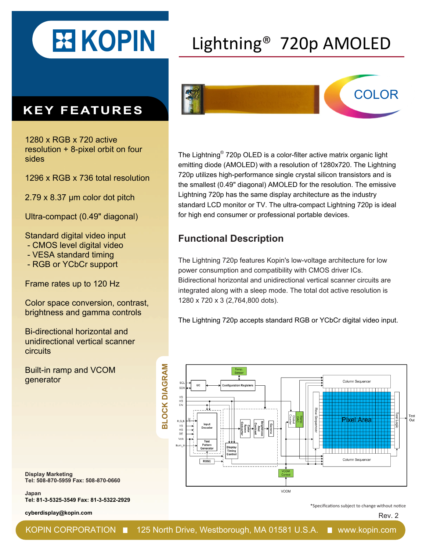

## Lightning® 720p AMOLED

## **KEY FEATURES**

1280 x RGB x 720 active resolution + 8-pixel orbit on four sides

1296 x RGB x 736 total resolution

2.79 x 8.37 μm color dot pitch

Ultra-compact (0.49" diagonal)

Standard digital video input

- CMOS level digital video

- VESA standard timing
- RGB or YCbCr support

Frame rates up to 120 Hz

Color space conversion, contrast, brightness and gamma controls

Bi-directional horizontal and unidirectional vertical scanner circuits

Built-in ramp and VCOM generator



The Lightning® 720p OLED is a color-filter active matrix organic light emitting diode (AMOLED) with a resolution of 1280x720. The Lightning 720p utilizes high-performance single crystal silicon transistors and is the smallest (0.49" diagonal) AMOLED for the resolution. The emissive Lightning 720p has the same display architecture as the industry standard LCD monitor or TV. The ultra-compact Lightning 720p is ideal for high end consumer or professional portable devices.

## **Functional Description**

The Lightning 720p features Kopin's low-voltage architecture for low power consumption and compatibility with CMOS driver ICs. Bidirectional horizontal and unidirectional vertical scanner circuits are integrated along with a sleep mode. The total dot active resolution is 1280 x 720 x 3 (2,764,800 dots).

The Lightning 720p accepts standard RGB or YCbCr digital video input.



**Display Marketing Tel: 508-870-5959 Fax: 508-870-0660**

**Japan Tel: 81-3-5325-3549 Fax: 81-3-5322-2929** 

**cyberdisplay@kopin.com**

\*Specifications subject to change without notice